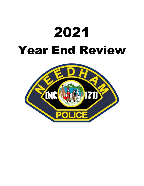# 2021 Year End Review

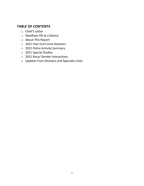# **TABLE OF CONTENTS**

- o Chief's Letter
- o Needham PD at a Glance
- o About This Report
- o 2021 Year End Crime Statistics
- o 2021 Police Activity Summary
- o 2021 Special Studies
- o 2021 Race/ Gender Interactions
- o Updates from Divisions and Specialty Units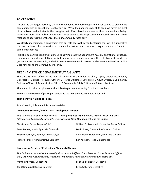#### **Chief's Letter**

Despite the challenges posed by the COVID pandemic, the police department has strived to provide the community with an exceptional level of service. While the pandemic was at its peak, we never lost sight of our mission and adjusted to the struggles that officers faced while serving their community's. Today, more and more local police departments must strive to develop community-based problem-solving methods to address the challenges that our community faces daily.

We clearly understand as a department that our role goes well beyond enforcing the law. It is imperative that we continue collaborate with our community partners and continue to expand our commitment to community policing.

Publishing an annual report will allow us to communicate the department mission, operational structure, training, and department statistics while listening to community concerns. This will allow us to work to a greater mutual understanding and reinforce our commitment in partnership between the Needham Police Department and the Community we serve.

#### NEEDHAM POLICE DEPARTMENT AT A GLANCE

There are 46 sworn officers in the town of Needham. This includes the Chief, Deputy Chief, 3 Lieutenants, 7 Sergeants, 2 School Resource Officers, 2 Traffic Officers, 3 Detectives, 1 Court Officer, 1 Community Outreach Officer, 1 Administrative Officer, 1 Community Safety Officer and 23 patrol officers.

There are 11 civilian employees at the Police Department including 5 police dispatchers.

Below is a breakdown of police personnel and the how the department is organized:

#### **John Schlittler, Chief of Police**

Paula Sheerin, Police Administrative Specialist

#### **Community Services / Professional Development Division**

*This Division is responsible for Records, Training, Evidence Management, Firearms Licensing, Crisis Intervention, Community Outreach, Crime Analysis, Fleet Management, and the Budget* 

| Christopher Baker, Deputy Chief         | William D. Slowe, Administrative Patrol Officer |
|-----------------------------------------|-------------------------------------------------|
| Stacy Poutas, Admin Specialist/ Records | David Forte, Community Outreach Officer         |
| Kelsey Cournoyer, Admin/Crime Analyst   | Christopher Hutchinson, Riverside Clinician     |
| Richard Forbes, Administrative Sergeant | Ken Kurkjian, Fleet Maintenance                 |

#### **Investigative Services / Professional Standards Division**

*This Division is responsible for Investigations, Internal Affairs, Court Services, School Resource Officer Unit, Drug and Alcohol testing, Warrant Management, Regional Intelligence and Metro-LEC.*

| Matthew Forbes, Lieutenant         | Michael Schlittler, Detective |
|------------------------------------|-------------------------------|
| Joe O'Brien Jr, Detective Sergeant | Brian Gallerani, Detective    |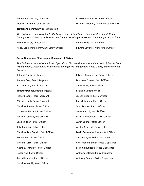| <b>Traffic and Community Safety Division</b> |                                         |
|----------------------------------------------|-----------------------------------------|
| Francis Desimone. Court Officer              | Nicole McMahon, School Resource Officer |
| Adrienne Anderson, Detective                 | RJ Poirier, School Resource Officer     |

*This Division is responsible for Traffic Enforcement, School Safety, Parking Enforcement, Grant Management, Domestic Violence Action Committee, Hiring Process, and Human Rights Committee.*

| Belinda Carroll, Lieutenant                 | Steven Kelly, Traffic Officer       |
|---------------------------------------------|-------------------------------------|
| Kelley Scolponeti, Community Safety Officer | Edward Bayiates, Motorcycle Officer |

#### **Patrol Operations / Emergency Management Division**

*This Division is responsible for Patrol Operations, Dispatch Operations, Animal Control, Special Event Management, Mountain Bike Operations, Emergency Management, Honor Guard, and Major Road Projects.* 

John McGrath, Lieutenant Andrew Cray, Patrol Sergeant Karl Johnson, Patrol Sergeant Timothy Dooher, Patrol Sergeant Richard Evans, Patrol Sergeant Michael Lamb, Patrol Sergeant Matthew Palmer, Patrol Officer Catherine Tierney, Patrol Officer William Kelleher, Patrol Officer Leo Schlittler, Patrol Officer Julia Rutledge, Patrol Officer Matthew MacDonald, Patrol Officer Robert Peck, Patrol Officer Vincent Turco, Patrol Officer Anthony Frongillo, Patrol Officer Roger Noll, Patrol Officer Jason Hasenfus, Patrol Officer Matthew Biellik, Patrol Officer

Edward Timmerman, Patrol Officer Matthew Doukas, Patrol Officer James Wise, Patrol Officer Brian Soll, Patrol Officer Joseph Brienze, Patrol Officer Patrick Keleher, Patrol Officer Scott Lennon, Patrol Officer James Carroll, Patrol Officer Sarah Timmerman, Patrol Officer Justin Young, Patrol Officer Austin Broderick, Patrol Officer David Parsons, Animal Control Officer Stephen Ryan, Police Dispatcher Christopher Bender, Police Dispatcher Melanie Rutledge, Police Dispatcher Anthony Salgado, Police Dispatcher Anthony Capone, Police Dispatcher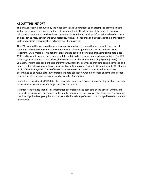# ABOUT THIS REPORT

This annual report is produced by the Needham Police Department as an attempt to provide citizens with a snapshot of the services and activities conducted by the department this year. It contains valuable information about the crimes committed in Needham as well as information related to those crimes such as race, gender and town residency status. This report also has updates from our specialty units and officers regarding their activities over the past year.

The 2021 Annual Report provides a comprehensive analysis of crimes that occurred in the town of Needham and were reported to the Federal Bureau of Investigation (FBI) via the Uniform Crime Reporting (UCR) Program. This national program has been collecting and organizing crime data since 1930 and is used by researchers, media and the public to better understand criminal activity. The UCR collects general crimes statistics through the National Incident-Based Reporting System (NIBRS). This voluntary system uses coding that is uniform throughout the country so that data can be compiled and analyzed. It breaks criminal offenses into two types: Group A and Group B. Group A include 46 offenses in 22 different categories. These offenses have been selected based on specific criteria and are determined to be relevant to law enforcement data collection. Group B offenses encompass all other crimes. The offenses and categories can be found in Appendix A.

In addition to looking at NIBRS data, this report also analyzes in house data regarding incidents, arrests, motor vehicle accidents, traffic stops and calls for service.

It is important to note that all this information is considered the best data at the time of writing, and that slight discrepancies or changes in the numbers may occur due to a variety of factors. For example, if an investigation is ongoing there is the potential for existing offenses to be changed based on updated information.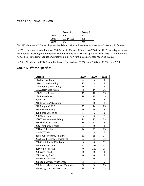# **Year End Crime Review**

|      | <b>Group A</b> | Group B |
|------|----------------|---------|
| 2019 | 509            | 378     |
| 2020 | 1318* (598)    | 295     |
| 2021 | 554            | 212     |

\*In 2020, there were 720 unemployment fraud claims, without those offenses there were 598 Group A offenses

In 2021, the town of Needham had 554 Group A offenses. This is down 57% from 2020 overall (please see note above regarding unemployment fraud incidents in 2020) and up 8.84% from 2019. There were no homicides, kidnapping/abduction, prostitution, or non-forcible sex offenses reported in 2021.

In 2021, Needham had 212 Group B offenses. This is down 28.1% from 2020 and 43.9% from 2019.

#### Group A Offense Specifics

| <b>Offense</b>                     | 2019           | 2020           | 2021           |
|------------------------------------|----------------|----------------|----------------|
| 11A Forcible Rape                  | 4              | 5              | $\mathbf{1}$   |
| 11D Forcible Fondling              | 17             | 3              | $\overline{4}$ |
| 120 Robbery (Unarmed)              | 0              | $\overline{2}$ | $\overline{2}$ |
| 13A Aggravated Assault             | 8              | 14             | 16             |
| 13B Simple Assault                 | 49             | 42             | 39             |
| 13C Intimidation                   | 18             | 13             | 15             |
| 200 Arson                          | $\mathbf{1}$   | 0              | 3              |
| 210 Extortion/ Blackmail           | $\overline{1}$ | $\overline{0}$ | $\overline{3}$ |
| 220 Burglary/ B&E                  | 25             | 14             | 23             |
| 23A Pick Pocketing                 | 0              | 0              | 3              |
| 23B Purse-Snatching                | 5              | $\mathbf{1}$   | $\overline{2}$ |
| 23C Shoplifting                    | 5              | 3              | $\overline{2}$ |
| 23D Theft from A Building          | 24             | 20             | 23             |
| 23F Theft from A MV                | 35             | 27             | 6              |
| 23G Theft of MV Parts              | $\mathbf 1$    | 0              | 4              |
| 23H All Other Larceny              | 74             | 79             | 75             |
| 240 MV Theft                       | $\overline{2}$ | 8              | 5              |
| 250 Counterfeiting/ Forgery        | 33             | 28             | 14             |
| 26A False Pretenses/ Swindling     | 67             | 70             | 91             |
| 26B Credit Card/ ATM Fraud         | 3              | 6              | 12             |
| 26C Impersonation                  | 62             | 191            | 42             |
| 26D Welfare Fraud                  | 0              | 720            | 65             |
| 26E Wire Fraud                     | 0              | 0              | $\overline{1}$ |
| 26F Identity Theft                 | 0              | 0              | 3              |
| 270 Embezzlement                   | 3              | 0              | 0              |
| 280 Stolen Property Offenses       | 3              | $\overline{1}$ | 5              |
| 290 Destruction/ Damage/ Vandalism | 32             | 54             | 65             |
| 35A Drug/ Narcotic Violations      | 33             | 10             | 23             |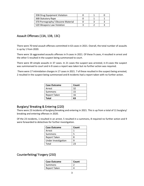| 35B Drug Equipment Violation      |  |  |
|-----------------------------------|--|--|
| 36B Statutory Rape                |  |  |
| 370 Pornography/ Obscene Material |  |  |
| 520 Weapons Law Violation         |  |  |

# Assault Offenses (13A, 13B, 13C)

There were 70 total assault offenses committed in 63 cases in 2021. Overall, the total number of assaults is up by 1 from 2020.

There were 16 aggravated assaults offenses in 9 cases in 2021. Of these 9 cases, 4 resulted in arrest and the other 5 resulted in the suspect being summonsed to court.

There were 39 simple assaults in 37 cases. In 21 cases the suspect was arrested, in 8 cases the suspect was summonsed to court and in 8 cases a report was taken but no further action was required.

There were 17 intimidation charges in 17 cases in 2021. 7 of these resulted in the suspect being arrested, 2 resulted in the suspect being summonsed and 8 incidents had a report taken with no further action.

| <b>Case Outcome</b> | Count |
|---------------------|-------|
| Arrest              | 32    |
| Summons             | 15    |
| <b>Report Taken</b> | 16    |
| Total               | 63    |

#### Burglary/ Breaking & Entering (220)

There were 23 incidents of burglary/breaking and entering in 2021. This is up from a total of 11 burglary/ breaking and entering offenses in 2020.

Of the 23 incidents, 1 resulted in an arrest, 5 resulted in a summons, 8 required no further action and 9 were forwarded to detectives for further investigation.

| <b>Case Outcome</b> | Count |
|---------------------|-------|
| Arrest              |       |
| Summons             | 5     |
| <b>Report Taken</b> | 8     |
| Under Investigation | q     |
| Total               | つっ    |

#### Counterfeiting/ Forgery (250)

| <b>Case Outcome</b> | Count |
|---------------------|-------|
| Summons             |       |
| Report Taken        |       |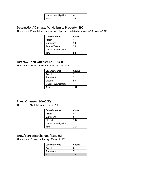| Under Investigation |    |
|---------------------|----|
| Total               | 10 |

### Destruction/ Damage/ Vandalism to Property (290)

There were 65 vandalism/ destruction of property related offenses in 58 cases in 2021.

| <b>Case Outcome</b> | Count |
|---------------------|-------|
| Arrest              | 4     |
| Summons             | 13    |
| <b>Report Taken</b> | 34    |
| Under Investigation |       |
| <b>Total</b>        | 58    |

#### Larceny/ Theft Offenses (23A-23H)

There were 115 larceny offenses in 101 cases in 2021.

| <b>Case Outcome</b> | Count |
|---------------------|-------|
| Arrest              |       |
| Summons             |       |
| Closed              | 90    |
| Under Investigation |       |
| <b>Total</b>        | 101   |

# Fraud Offenses (26A-26E)

There were 214 total fraud cases in 2021.

| <b>Case Outcome</b> | Count |
|---------------------|-------|
| Arrest              |       |
| Summons             | h     |
| Closed              | 197   |
| Under Investigation |       |
| Total               | 214   |

#### Drug/ Narcotics Charges (35A, 35B)

There were 13 cases with drug offenses in 2021.

| <b>Case Outcome</b> | Count |
|---------------------|-------|
| Arrest              | 6     |
| Summons             |       |
| Total               | 13    |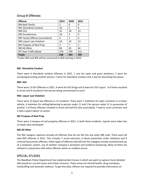### Group B Offenses:

| <b>Offense</b>                  | 2019 | 2020          | 2021           |
|---------------------------------|------|---------------|----------------|
| 90A Bad Checks                  | 2    | 0             | 0              |
| 90C Disorderly Conduct          | 10   | $\mathcal{P}$ | 6              |
| 90D DUI                         | 35   | 18            | 13             |
| 90E Drunkenness                 | 18   | 3             | 0              |
| 90F Family Offense (nonviolent) | 0    | 1             | 0              |
| 90G Liquor Law Violation        | 18   | 10            | 13             |
| 90J Trespass of Real Prop       | 3    | 7             | $\mathfrak{p}$ |
| 90Z All Other                   | 84   | 65            | 44             |
| 99 Town Traffic Bylaw           | 378  | 295           | 212            |
| <b>Totals</b>                   | 548  | 401           | 295            |

\*Codes 90A and 90E will be converted to 90Z starting in 2022.

#### **90C- Disorderly Conduct**

There were 6 disorderly conduct offenses in 2021. 1 was for open and gross lewdness, 2 were for annoying/accosting another person, 2 were for disorderly conduct and 1 was for disturbing the peace.

#### **90D- DUI**

There were 13 DUI Offenses in 2021. 4 were for OUI Drugs and 9 were for OUI Liquor. 9 of these resulted in arrest and 4 resulted in the person being summonsed to court.

#### **90G- Liquor Law Violation**

There were 13 liquor law offenses in 12 incidents. There were 7 violations for open container in a motor vehicle, 4 violations for selling/delivering to person under 21 and 2 for person under 21 in possession of alcohol. 5 of these offenses resulted in arrest (all had DUI also associated), 7 lead to court summons and 1 had a report taken/ no action.

#### **90J-Trespass of Real Prop**

There were 2 trespass of real property offenses in 2021. In both these incidents, reports were taken but no leads were developed.

#### **90Z-All Other**

The 90Z category captures virtually all offenses that do not fall into any other IBR code. There were 44 total 90Z offenses in 2021. This includes 7 arrest warrants, 6 abuse prevention order violations and 4 criminal harassment offenses. Other types of offenses that fall into this category include unauthorized use of a computer system, use of another company's dumpster and evidence tampering. Many of them are utilized in conjunction with other offenses when an incident occurs.

#### SPECIAL STUDIES

The Needham Police Department has implemented 4 areas in which we want to capture more detailed data based on current issues and citizen concerns. These areas are mental health, drug overdoses, handcuffing and domestic violence. To get this data, officers are required to provide information on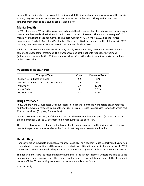each of these topics when they complete their report. If the incident or arrest involves any of the special studies, they are required to answer the questions related to that topic. The questions and data gathered from these special studies are detailed below.

#### Mental Health

In 2021 there were 207 calls that were deemed mental health related. For this data we are considering a mental health related call to incident in which mental health is involved. There was an average of 17 mental health related calls per month. The highest number was 25 in March 2021 and the lowest number was 13 in both August and September. There were 176 total mental health related calls in 2020, meaning that there was an 18% increase in the number of calls in 2021.

While the nature of mental health call can vary greatly, sometimes they end with an individual being taken to the hospital for treatment. This transport can be at the patients request or agreement (voluntary) or under a Section 12 (involuntary). More information about these transports can be found in the charts below.

| <b>Transport Type</b>                         | Count | <b>Percent of Total</b> |
|-----------------------------------------------|-------|-------------------------|
| Section 12 (Initiated by Police)              | 52    | 25%                     |
| Section 12 (Initiated by a Doctor/ Therapist) | 29    | 14%                     |
| Voluntary                                     | 37    | 17.8%                   |
| Court Order                                   |       | 0.01%                   |
| No Transport                                  | 88    | 42.5%                   |

#### **Mental Health Transport Data**

#### Drug Overdoses

In 2021 there were 17 suspected Drug overdoses in Needham. 8 of these were opiate drug overdoses and 9 of them were overdoses from another drug. This is an increase in overdoses from 2020, which had 12 total overdoses (6 opiate, 6 non-opiate).

Of the 17 overdoses in 2021, 8 of them had Narcan administration by either police (4 times) or fire (4 times) personnel. 9 of the 17 overdoses did not require the use of Narcan.

There were 3 overdoses that lead to deaths and 1 with unknown results. In the incident with unknown results, the party was unresponsive at the time of that they were taken to the hospital.

#### **Handcuffing**

Handcuffing is an inevitable and necessary part of policing. The Needham Police Department has started to keep track of handcuffing and the reasons as to why it was utilized in any particular interaction. In 2021 there were 78 times that handcuffing was used. 62 out of the 78 (79.5%) of those instances were arrests.

The department tracks the reason that handcuffing was used in each instance. Officers are able to utilize handcuffing to affect an arrest, for officer safety, for the subject's own safety and for mental health related reasons. Of the 78 handcuffing instances, the reasons were listed as follows:

61 Arrest Only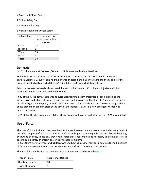- 2 Arrest and Officer Safety
- 2 Officer Safety Only
- 5 Mental Health Only
- 8 Mental Health and Officer Safety

| Subject Race | # Of Encounters in<br>which handcuffing |
|--------------|-----------------------------------------|
|              | was used                                |
| <b>Black</b> | 12                                      |
| Hispanic     | q                                       |
| White        | 53                                      |
| Asian        |                                         |
| <b>Total</b> | 78                                      |

#### Domestic

In 2021 there were 97 Domestic/ Domestic Violence related calls in Needham.

66 out of 97 (68%) of these calls were verbal only in nature and did not escalate into any form of physical violence. 27 (28%) calls had the offense of assault and battery attached to them, and 4 of the domestic related calls reported threats/ intimidation and 2 reported strangulations.

80 of the domestic related calls reported this year had no injuries, 15 had minor injuries and 2 had moderate injuries associated with the incident.

In 82 of the 97 incidents, there was no current restraining order/ protection order in place and the victim chose to decline getting an emergency order put into place at that time. In 8 instances, the victim did elect to get an emergency order in place. In 6 cases, there already was an active restraining order or abuse prevention order in place at the time of the incident. In 1 case, a new emergency order was denied by a judge.

In 26 of the 97 calls, there were children either present or involved in the incident and DCF was notified.

#### Use of Force

The Use of Force incidents that Needham Police are involved in are a result of an individual's level of unlawful compliance/resistance rather than officer looking to harm the public. We are obligated morally, by law and by policy to use only that level of force that is reasonable and necessary to affect an arrest, to ensure public safety or protect ourselves or others from harm.

In 2021 there were 19 times in which force was used during a call for service. In some calls, multiple types of force were necessary to resolve the situation and maintain the safety of all present.

The use of force policy for the Needham Police Department can be found [here.](http://www.needhamma.gov/DocumentCenter/View/24239/101-Use-of-Force-8-19-21)

| <b>Type of Force</b> | <b>Total Times Utilized</b> |
|----------------------|-----------------------------|
| Hands on Control     | 18                          |
| Taser (Displayed)    |                             |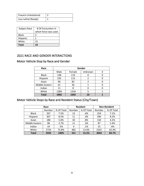| Firearm Unholstered |  |
|---------------------|--|
| Less Lethal (Ready) |  |

| Subject Race | # Of Encounters in   |
|--------------|----------------------|
|              | which force was used |
| Black        | 3                    |
| Hispanic     |                      |
| White        | 15                   |
| <b>Total</b> | 19                   |

# 2021 RACE AND GENDER INTERACTIONS

# Motor Vehicle Stop by Race and Gender

| Race           | Gender |      |    |  |  |  |  |  |
|----------------|--------|------|----|--|--|--|--|--|
|                | Male   |      |    |  |  |  |  |  |
| <b>Black</b>   | 148    | 119  |    |  |  |  |  |  |
| Hispanic       | 192    | 113  | 2  |  |  |  |  |  |
| Asian          | 96     | 82   |    |  |  |  |  |  |
| Middle Eastern | 61     | 36   |    |  |  |  |  |  |
| Indian         | 11     | 8    |    |  |  |  |  |  |
| White          | 1384   | 1334 |    |  |  |  |  |  |
| <b>Total</b>   | 1892   | 1692 | 10 |  |  |  |  |  |

# Motor Vehicle Stops by Race and Resident Status (City/Town)

|                | Race   |            |        | <b>Resident</b> | <b>Non-Resident</b> |            |  |
|----------------|--------|------------|--------|-----------------|---------------------|------------|--|
|                | Number | % Of Total | Number | % Of Total      | Number              | % Of Total |  |
| <b>Black</b>   | 267    | 7.5%       | 13     | .4%             | 254                 | 7.1%       |  |
| Hispanic       | 307    | 8.5%       | 11     | .3%             | 296                 | 8.2%       |  |
| Asian          | 180    | 5.0%       | 30     | .8%             | 150                 | 4.2%       |  |
| Middle Eastern | 98     | 2.7%       | 11     | .3%             | 87                  | 2.4%       |  |
| Indian         | 19     | .5%        | 4      | .1%             | 15                  | .4%        |  |
| White          | 2724   | 75.8%      | 482    | 13.4%           | 2242                | 62.4%      |  |
| <b>Total</b>   | 3595   | 100%       | 551    | 15.3%           | 3044                | 84.7%      |  |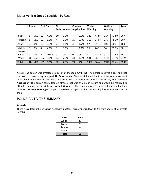|                   | <b>Arrest</b> |     | <b>Civil Fine</b><br>No<br><b>Enforcement</b> |       | <b>Criminal</b><br><b>Application</b> |      | <b>Verbal</b><br><b>Warning</b> |      | Written<br><b>Warning</b> |       | <b>Total</b> |       |      |
|-------------------|---------------|-----|-----------------------------------------------|-------|---------------------------------------|------|---------------------------------|------|---------------------------|-------|--------------|-------|------|
| <b>Black</b>      | 1             | .4% | 12                                            | 4.5%  | 10                                    | 3.7% | 7                               | 2.6% | 120                       | 44.9% | 117          | 43.8% | 267  |
| Hispanic          | 1             | .3% | 19                                            | 6.2%  | 4                                     | 1.3% | 29                              | 9.4% | 115                       | 37.5% | 139          | 45.3% | 307  |
| Asian             | 0             | 0%  | 10                                            | 5.5%  | 2                                     | 1.1% | 3                               | 1.7% | 57                        | 31.7% | 108          | 60%   | 180  |
| Middle<br>Eastern | 0             | 0%  | 4                                             | 4.1%  | 3                                     | 3.1% | 1                               | 1.1% | 26                        | 26.5% | 64           | 65.3% | 98   |
| Indian            | 0             | 0%  | $\overline{2}$                                | 10.5% | $\mathbf{0}$                          | 0%   | $\mathbf{0}$                    | 0%   | 8                         | 42.1% | 9            | 47.4% | 19   |
| White             | 16            | .6% | 152                                           | 5.6%  | 63                                    | 2.3% | 31                              | 1.3% | 981                       | 36%   | 1481         | 54.4% | 2724 |
| <b>Total</b>      | 18            | .4% | 199                                           | 5.5%  | 82                                    | 2.3% | 71                              | 2%   | 1307                      | 36.4% | 1918         | 53.4% | 3595 |

#### Motor Vehicle Stops Disposition by Race

**Arrest**- The person was arrested as a result of the stop. **Civil Fine**- The person received a civil fine that they could choose to pay or appeal. **No Enforcement**- Stop was initiated due to a motor vehicle accident or disabled motor vehicle, but there was no action that warranted enforcement of any kind. **Criminal Application**- The person committed an offense that was criminal in nature and would be required to attend a hearing for the violation. **Verbal Warning** – The person was given a verbal warning for their violation. **Written Warning** – The person received a paper citation, but nothing further was required of them.

# POLICE ACITIVITY SUMMARY

#### Arrests

There was a total of 61 arrests in Needham in 2021. This number is down 11.5% from a total of 69 arrests in 2020.

| Race         | Count |
|--------------|-------|
| White        | 40    |
| Black        | q     |
| Hispanic     | ጸ     |
| Asian        | 4     |
| <b>Total</b> | 61    |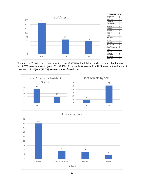

52 out of the 61 arrests were males, which equals 85.25% of the total arrests for the year. 9 of the arrests, or 14.75% were female subjects. 32 (52.4%) of the subjects arrested in 2021 were not residents of Needham. 29 subjects (47.5%) were residents of Needham.





10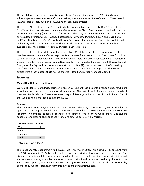The breakdown of arrestees by race is shown above. The majority of arrests in 2021 (65.5%) were of White suspects. 9 arrestees were African American, which equates to 14.8% of the total. There were 8 (13.1%) Hispanic individuals and 4 (6.6%) Asian individuals arrested.

There were 21 arrests involving BIPOC individuals. Twenty (20) of those Twenty-One (21) arrests were for offenses that mandate arrest or are a preferred response. Eight (8) of the arrests involved an active arrest warrant. Seven (7) were arrested for Assault and Battery on a Family Member. One (1) Arrest for an Assault to Murder. One (1) involved Possession with intent to Distribute Class A and Class B Drugs and Trafficking Fentanyl. One (1) involved Felony Possession of a Firearm and One (1) involved Assault and Battery with a Dangerous Weapon. The arrest that was not mandatory or preferred involved a suspect in an ongoing Heroin / Fentanyl Distribution investigation.

There were 40 arrests of white individuals. Thirty-two (34) of those arrests were for offenses that mandate arrests or are a preferred response. Ten (10) were for arrest warrants. One (1) was for failure to register as a sex offender. One (1) was for domestic assault. One (1) was for assault with a dangerous weapon. Nine (9) were for assault and battery on a family or household member. Eight (8) were for OUI. One (1) was for fugitive from justice on a court warrant. One (1) was for possession of a Class A drug. One (1) was for an abuse prevention order violation. One (1) was for carjacking). The other six (6) arrests were either motor vehicle related charges (4 total) or disorderly conduct (2 total).

#### **Juveniles**

#### **Mental Health Related Incidents**

We had 41 Mental Health Incidents involving juveniles. One of those incidents involved a student who left school and was located in crisis a short distance away. The rest of the incidents originated outside of Needham Public Schools. There were twenty-eight different juveniles involved in the incidents. Ten of the juveniles had more than one incident in 2021.

#### **Offenses**

There was one arrest of a juvenile for Domestic Assault and Battery. There were 13 juveniles that had to appear for a Hearing at Juvenile Court. There were 8 juveniles that voluntarily entered our Diversion Program. Two of these incidents happened at or originated from Needham Public Schools. One student appeared for a Hearing at Juvenile Court, and one entered our Diversion Program.

| <b>Offender Race</b> | Count |
|----------------------|-------|
| White                | 14    |
| Black                |       |
| Hispanic             |       |
| Total                | 22    |

# Total Calls and Types

The Needham Police Department had 42,365 calls for service in 2021. This is down 3,738 or 8.45% from the 2020 total of 46,103. Calls can be broken down into priorities based on the level of urgency. The highest priority is level 1, which includes burglar alarms, fires, motor vehicle crashes with injury and sudden deaths. Priority 2 includes calls for suspicious activity, fraud, larceny and wellbeing checks. Priority 3 is the lowest priority level and encompasses the majority of everyday calls. This includes security checks, animal calls, public assistance, motor vehicle stops and administrative calls.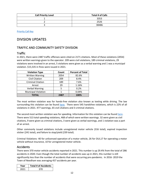| <b>Call Priority Level</b> | <b>Total # of Calls</b> |
|----------------------------|-------------------------|
|                            | 3353                    |
|                            | 2526                    |
|                            | 38486                   |

[Priority Call Key](http://www.needhamma.gov/DocumentCenter/View/23372/Calls-for-Service-by-Prioity-Key)

# DIVISION UPDATES

# TRAFFIC AND COMMUNITY SAFETY DIVISION

#### **Traffic**

In 2021, there were 2487 traffic offenses were cited on 2171 citations. Most of these violations (2054) were written warnings given to the operator. 209 were civil violations, 189 criminal violations, 29 violations were involved in an arrest, 5 violations were given as a verbal warning and 1 was a municipal violation. \$15,535 in fines were issued in 2021.

| <b>Violation Type</b>      | Count | <b>Percent of Total</b> |
|----------------------------|-------|-------------------------|
| <b>Written Warning</b>     | 2054  | 82.6%                   |
| <b>Civil Citation</b>      | 209   | 8.4%                    |
| <b>Criminal Citation</b>   | 189   | 7.6%                    |
| Arrest                     | 29    | 1.16%                   |
| <b>Verbal Warning</b>      | 5     | 0.2%                    |
| <b>Municipal Violation</b> |       | 0.04%                   |
| <b>TOTAL</b>               | 2487  | 100%                    |

The most written violation was for hands-free violation also known as texting while driving. The law surrounding this violation can be found [here.](https://malegislature.gov/Laws/GeneralLaws/PartI/TitleXIV/Chapter90/Section13B) There were 545 handsfree violations, which is 22% of all violations in 2021. 477 warnings, 65 civil citations and 3 criminal citations.

The second most written violation was for speeding. Information for this violation can be foun[d here.](https://malegislature.gov/Laws/GeneralLaws/PartI/TitleXIV/Chapter90/Section17) There were 513 total speeding violations, 468 of which were written warnings. 32 were given as civil citations, 9 were given as criminal citations, 3 were given as verbal warnings, and 1 violation was a part of an arrest.

Other commonly issued violations include unregistered motor vehicle (316 total), expired inspection sticker (241 total), and failure to stop/yield (239 total).

Criminal Violations- 40 for unlicensed operation of a motor vehicle, 26 for OUI,17 for operating a motor vehicle without insurance, 10 for unregistered motor vehicle.

#### Accidents

There were 370 motor vehicle accidents reported in 2021. This number is up 29.4% from the total of 286 accidents in 2020. Even though the total number of accidents was up in 2021, this number is still significantly less than the number of accidents that were occurring pre-pandemic. In 2016- 2019 the Town of Needham was averaging 457 accidents per year.

| rear | Total # of Accidents |
|------|----------------------|
| วกวา |                      |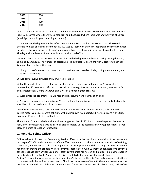| 2020 | 286 |
|------|-----|
| 2019 | 467 |
| 2018 | 419 |
| 2017 | 480 |
|      |     |

In 2021, 255 crashes occurred in an area with no traffic controls. 55 occurred where there was a traffic light, 52 occurred where there was a stop sign and 8 occurred where there was another type of control (yield sign, railroad signals, warning signs, etc.).

November had the highest number of crashes at 42 and February had the lowest at 18. The overall average number of crashes per month in 2021 was 31. Based on this year's reporting, the most common days for motor vehicle accidents was Thursday and Friday, both with 66 accidents throughout the year. The day with the least accidents was Sunday, with a total of 33.

Most accidents occurred between 7am and 7pm with the highest numbers occurring during the 4pm, 1pm and 11am hours. The number of accidents drop significantly overnight with 0 occurring between 2am and 4am for the entire year.

Looking at day of the week and time, the most accidents occurred on Friday during the 4pm hour, with a total of 11 accidents.

56 Accidents involved injuries and 2 involved fatalities.

224 of the accidents were not at an intersection. 65 were at a 4-way intersection, 47 were at a T intersection, 13 were at on off ramp, 11 were in a driveway, 4 were at a Y intersection, 3 were at a 5 point intersection, 2 were unknown and 1 was at a railroad grade crossing.

77 were single vehicle crashes, 46 we rear end crashes, 98 were crashes at an angle.

272 crashes took place in the roadway, 72 were outside the roadway. 15 were on the roadside, 8 on the shoulder, 1 in the median and 2 unknowns.

208 of the accidents were collisions with another motor vehicle in motion. 67 were collisions with parked motor vehicles. 18 were collisions with an unknown fixed object. 13 were collisions with utility poles and 13 were collisions with a tree.

There were 15 motor vehicle accidents involving pedestrians in 2021. 6 of these the pedestrian was on foot, 8 were cyclists and 1 was using roller blades/skates. Of the accidents involving pedestrians, 5 took place at a crossing location (crosswalk).

#### Community Safety Officer

Officer Kelley Scolponeti, our Community Service officer, is under the direct supervision of the Lieutenant in charge of Traffic and Community Safety. Officer Scolponeti has the primary responsibility of training, scheduling, and supervising all Traffic Supervisors (civilian positions) while creating a safe environment for children around the schools. We are currently short staffed, with 16 Traffic Supervisors who cover 62 school crossings daily. Officer Scolponeti often covers crossings herself and makes it a point to check in periodically with the Traffic Supervisors to discuss safety/traffic concerns they might have.

Officer Scolponeti also serves as our liaison for the Center at the Heights. She makes weekly visits there to interact with the seniors in many ways. She'll stop in to have coffee with them and sometimes play pool and assists with meal deliveries. As we rebound from Covid-19, we're finally able to bring back **Coffee**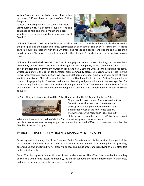**with a Cop** in person, in which several officers stop by to say "hi" and have a cup of coffee. Officer Scolponeti

started a new program with the seniors this year-**Crafts with** a **Cop**. It's become a huge hit and she continues to hold one once a month and a great way to get the seniors socializing once again post Covid-19.



Officer Scolponeti assists the School Resource Officers with A.L.I.C.E. drills and periodically checks in with the principals and the health and safety committees at each school. She enjoys assisting the  $3<sup>rd</sup>$  grade physical education teachers with their 3<sup>rd</sup> grade bike rodeos and designs and designs and issues their bicycle licenses. She makes it a point to conduct "Officer Friendly" visits to the daycare schools within our town.

Officer Scolponeti is the liaison with the Council on Aging, the Commission on Disability, and the Needham Community Council. She assists with the clothing drive and food pantry at the Community Council. She's part of the Needham Community Outreach Team and has luncheons with Needham Housing residents. Officer Scolponeti is the liaison for donations from community stores. She assists with distributing the items throughout our town. In 2021, we received 200 boxes of school supplies and 250 boxes of hand sanitizer and tissues. She delivered all of them to the Needham Public Schools. Officer Scolponeti also conducts fingerprinting for Needham residents for licensing and job employment. She averages 10-15 a month. Many fundraisers reach out to the police department for a "ride to school in a police car" as an auction item. These rides have become very popular at auctions, and she facilitates 8-10 rides to school annually.

In 2021, Officer Scolponeti entered the Police Department in the  $3<sup>rd</sup>$  Annual She Loves Police



Gingerbread House contest. There were 41 entries from 41 states (the year prior, there were only 11 entries). Officer Scolponeti decided to make a gingerbread house of the new Police Station. The winner received "bragging" rights and 100% of the proceeds from the "She Loves Police" gingerbread

sales were donated to a charity of choice. This contest was posted on social media to people to vote- yet another way to get the community involved. Officer Scolponeti was awarded the "Rookie of the Year" trophy.

#### PATROL OPERATIONS / EMERGENCY MANAGEMENT DIVISION

Patrol represents the majority of the Needham Police Department and is the most visible aspect of the job. Operating on a 24hr basis its services include but are not limited to: protecting life and property, enforcing all laws and town bylaws, preserving peace and public order, and identifying criminal offenders and criminal activity.

Each officer is assigned to a specific area of town, called a sector. The officer is responsible for handling all the calls within that sector. Additionally, the officer conducts the traffic enforcement in their area, building checks, and assists other officers as needed.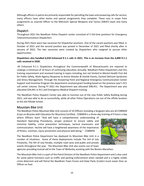Although officers in patrol are primarily responsible for patrolling the town and answering calls for service, many officers have other duties and special assignments they complete. These vary in scope from assignments as Juvenile Officer to the MetroLEC Special Weapons and Tactics (SWAT) team and many others.

#### Dispatch

Throughout 2021 the Needham Police Dispatch center consisted of 5 full-time positions for Emergency Telecommunications Dispatchers

During 2021 there were two vacancies for Dispatcher positions. One of the vacant positions was filled, in October of 2021 and the second position was posted in December of 2021 and filled shortly after in January of 2022. The two vacancies were created by Dispatchers who resigned to pursue other opportunities.

#### **Dispatchers also handled 6,018 Enhanced 9-1-1 calls in 2021. This is an increase from the 4,890 9-1-1 calls received in 2020.**

All Enhanced 9-1-1 Dispatchers throughout the Commonwealth of Massachusetts are required to undergo a minimum of 16 hours of continuing education annually. Needham Police Dispatchers met this training requirement and received training in topics including, but not limited to Mental Health First Aid for Public Safety, Multi-Agency Response to Active Shooter & Hostile Events, Excited Delirium Syndrome and Stress Management. Through the Answering Point and Regional Emergency Communication Center Support and Incentive Program the department received grant funding based on the previous year's 911 call center volume. During FY 2021 the Department was allocated \$98,451. The Department was also allocated \$34,441 in 911 and Emergency Medical Dispatch training.

The Needham Police Dispatch Center was able to function out of the new Public Safety Building during 2021, and was able to do so successfully, while all other Police Operations ran out of the offsite location at the old Hillside School.

#### Mountain Bike Unit

The Needham Police Mountain Bike Unit consists of 10 Officers including a Sergeant who are all COBWEB (Cops on Bicycles with Education for Bicyclists) Certified. COBWEB is a three-day training of 4 hours a day

where Officers learn "And will have a comprehensive understanding of Standard Operating Procedures, proper protocol to ensure safety and minimize liability, crime prevention techniques, tactical maneuvers and communication. He/she will have a heightened awareness of the importance of fitness, nutrition, injury prevention and physical well-being." -COBWEB

The Needham Police Department has deployed its Mountain Bike Unit in a number of situations. Some of these deployments include The 3rd of July Fireworks, The 4th of July Parade, multiple road races and public and private events throughout the year. The Mountain Bike Unit also assists out of town



agencies providing mutual aid to the Town of Wellesley assisting with the Boston Marathon.

The Mountain Bike Unit is a part of the Patrol Division of the Needham Police Department and is also used for some patrol functions such as traffic and parking enforcement when needed and is a highly visible crime deterrent and will Patrol the Needham Town Forest and State Parks (Cutler) much easier than an Officer on foot.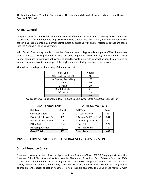The Needham Police Mountain Bike unit rides TREK mountain bikes which are well situated for all terrains, Road and Off Road.

### Animal Control

In April of 2021 full time Needham Animal Control Officer Parsons was Injured on Duty while attempting to break up a fight between two dogs. Since that time Officer Matthew Palmer, a trained animal control officer, has supplemented his normal patrol duties by assisting with animal related calls that are called into the Needham Police Department.

With Covid-19 attracting people to Needham's open spaces, playgrounds and parks, Officer Palmer has had to address a growing number of calls for service regarding unleashed dogs and dog bites. Officer Palmer continues to work with pet owners to keep them informed with information specifically related to animal issues and how to be a responsible neighbor while utilizing Needham open spaces.

| <b>Call Type</b>     | Count |
|----------------------|-------|
| Non-Dog related Call | 213   |
| Lost/Loose/Found Dog | 132   |
| Other                | 40    |
| <b>Barking</b>       | 29    |
| Dog Bite/Fight       | 21    |
| Off Leash            | 13    |
| <b>TOTAL</b>         | 448   |

The below table displays the activity of the ACO for 2021:

\*Calls above were not broken down in 2020. See below for 2021 / 2020 Call Comparison

| <b>Call Type</b>       | Count | <b>Call Type</b>       | Count         |
|------------------------|-------|------------------------|---------------|
| Off Leash Check        | 15    | Off Leash Check        | 13            |
| P Animal Call(Non Dog) | 199   | P Animal Call(Non Dog) | 204           |
| P Animal Quarantine    | 12    | P Animal Quarantine    | 11            |
| P Dog Call             | 234   | P Dog Call             | 179           |
| P Missing Animal       | 9     | P Missing Animal       | $\mathcal{P}$ |
| <b>Grand Total</b>     | 469   | <b>Grand Total</b>     |               |

#### **2021 Animal Calls 2020 Animal Calls**

| Call Type              | Count |
|------------------------|-------|
| Off Leash Check        | 13    |
| P Animal Call(Non Dog) | 204   |
| P Animal Quarantine    | 11    |
| P Dog Call             | 179   |
| P Missing Animal       | 2     |
| <b>Grand Total</b>     |       |

#### INVESTIGATIVE SERVICES / PROFESSIONAL STANDARDS DIVISION

#### School Resource Officers

Needham currently has two officers assigned as School Resource Officers (SROs). They support the entire Needham School District as well as Saint Joseph's Elementary School and Saint Sebastian's School. SROs partner with school administrators throughout the school district to provide support and guidance in a variety of ways and bridge student family-school life. SROs also work closely with school district guidance counselors and special education teachers to help support students. The SROs meet regularly with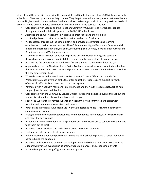students and their families to provide this support. In addition to these meetings, SROs interact with the schools and Needham youth in a variety of ways. They help to deal with investigations that juveniles are involved in, help to aid students whose families may be experiencing a hardship and help assist with school projects. Some other examples of what our SROs have done in the past year include:

- Collaborated with Staples and the Needham Community Council to deliver school supplies throughout the school district prior to the 2021/2022 school year.
- Attended the annual Needham Harvest Fair to greet youth and their families
- Provided police escort rides to school for various raffles and fundraisers
- Visited classes throughout the school district and provide presentations and learning experiences on various subject matters like 4<sup>th</sup> Amendment Rights/Search and Seizure, social media and Internet Safety, Bullying and Cyberbullying, Self-Defense, Bicycle Safety, Alcohol and Drug Awareness, and Vaping Awareness.
- Worked closely with school principals to provide armed intruder training and education (through presentations and practical drills) to staff members and students in each school
- Assisted the fire department in conducting fire drills in each school throughout the year
- organized and ran the Needham Junior Police Academy, a weeklong camp for middle schoolers that teaches them about police work and provides interactive activities and field trips to explore the law enforcement field.
- Worked closely with the Needham Police Department Truancy Officer and Juvenile Court Prosecutor to create diversion paths that offer education, resources and support to youth offenders in effort to keep them out of the court system.
- Partnered with Needham Youth and Family Services and the Youth Resource Network to help support juveniles and their families
- Collaborated with the Community Service Officer to support Bike Rodeo events throughout the school district and for cub scout and boy scout troops
- Sat on the Substance Prevention Alliance of Needham (SPAN) committee and assist with planning and execution of campaigns and events
- Participated in Students Advocating Life (without) Substance Abuse (SALSA) to help support campaigns and events
- Brought juveniles to Golden Opportunities for Independence in Walpole, MA to visit the farm and meet the service dogs
- Visited with Needham students in DCF programs outside of Needham to connect with them and take them out to lunch
- Attended various student club and athletic events to support students
- Took part in field day events at various schools
- Helped coordinate between police department and high school to provide a senior graduation parade during the pandemic
- Attended and coordinated between police department and schools to provide assistance and support with various events such as prom, graduation, dances, and other school events
- Provided support for rising  $9<sup>th</sup>$  graders on Step Up day.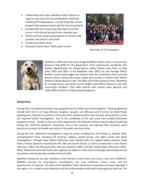- Collaborated with other Needham Police officers to organize and coach the annual Needham-Wellesley Powderpuff Football game, a month-long after-school program that prepares senior girls for the annual game
- Assisted with the annual drug take back event that occurs in the fall and spring of each calendar year.
- Visited summer camps and programs to connect with juveniles and check in with them
- Visited vaccination clinics
- Attended Charles River YMCA public events



NHS Class of '22 Champions



Needham's SROs also train and manage K9 Officer Rocket, who is a Community Resource Dog (CRD) for the department. They continuously coordinate with Golden Opportunities for Independence, where Rocket came from, to help other SROs and CRD's in the Needham area. SROs run and manage Officer Rocket's social media pages and interact with the community there and also attend various community events inside and outside of schools with Officer Rocket to speak about his role. The SROs visit all the schools in town, Needham BI, nursing homes, and Center at the Heights with Officer Rocket to visit with community members. They often partner with various town agencies and utilize Officer Rocket to help promote programs.

#### Detectives

During 2021, the Detective Division was assigned cases for follow-up and investigation. These assignments include both Part A (ie drug offenses, burglary, assaults, sex offenses) and B crimes (ie check fraud, peeping tom), attempts to commit a crime and other situations which may not have amounted to a crime but required further investigation. Due to the complexity of the case many had multiple Detectives assigned to them. Similar to the rest of the Department, the Detective Division had to adjust to policing during the COVID-19 pandemic. Detectives rose to the occasion and adjusted their practices when practical to protect the health and safety of the public and each other.

During the year, detectives investigated a range of crimes including but not limited to, identity theft, unemployment fraud, breaking and entering, robbery, armed assault, civil rights crimes and death investigations. Through these efforts Detectives have worked with our regional police partners, State Police, Federal Agencies including the FBI, DEA and Secret Service, as well as prosecutors in the District Attorney's office, the Massachusetts Attorney General's Office and the United States Attorney's office. Often, Detectives work with these other agencies to address crimes that increasingly extend beyond local boundaries and incorporate complex technical skills.

Needham Detectives are also members of the Norfolk County Police Anti-Crime Task Force (NORPAC). NORPAC provides for multi-agency investigations into drug trafficking, violent crime, and the apprehension of fugitives. The work of the Needham Police Detectives is exemplary and well regarded in the region. It is a credit to each Detective and the professionalism with which they approach their job. The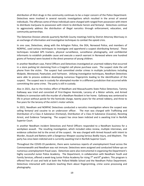distribution of illicit drugs in the community continues to be a major concern of the Police Department. Detectives were involved in several narcotic investigations which resulted in the arrest of several individuals. The offenses some of these individuals were charged with ranged from possession with intent to distribute marijuana to possession with intent to distribute heroin and fentanyl. Detectives continue to aggressively address the distribution of illegal narcotics through enforcement, education, and community partnerships.

The Detective Division attends quarterly Norfolk County meetings held by District Attorney Morrissey in an exchange of information and investigative techniques to combat the opioid crisis.

In one case, Detectives, along with the Arlington Police, the DEA, Norwood Police, and members of NORPAC, used various techniques to investigate and apprehend a suspect distributing fentanyl. These techniques included GPS trackers, physical surveillance, surveillance photography, and confidential informants to establish probable cause and execute a search warrant in Norwood where one hundred grams of Fentanyl were located in the direct presence of young children.

In another Needham case, Patrol Officers and Detectives investigated an unarmed robbery that occurred in a store parking lot stemming from a Craigslist cell phone purchase scam. The suspect stole the cell phone from the victim. The suspect had committed similar crimes in multiple jurisdictions including Walpole, Westwood, Pawtucket, and Fairhaven. Utilizing investigative techniques, Needham Detectives were able to process evidence developing numerous fingerprints leading to the identification of the suspect. The suspect was in custody for attempted murder in a different jurisdiction that occurred while committing the same crime. The party is still in custody.

Also in 2021, due to the tireless effort of Needham and Massachusetts State Police Detectives, Tammy Galloway was tried and convicted of First-Degree Homicide, Larceny of a Motor vehicle, and Armed Robbery in connection with the murder of a Needham Resident in her home. Galloway was sentenced to life in prison without parole for the homicide charge, twenty years for the armed robbery, and three to five years for the larceny of the victim's motor vehicle.

In 2021, Needham and NORPAC Detectives conducted a narcotics investigation where the suspect was selling fentanyl and cocaine to an undercover officer. The man was charged with Trafficking and Distribution of a Class A Substance (Fentanyl), Distribution of a Class B Substance (Cocaine), Resisting Arrest, and Evidence Tampering. The suspect has since been indicted and is awaiting trial in Norfolk Superior Court.

In another Needham incident Detectives and Patrol Officers responded to a Needham business for a workplace assault. The resulting investigation, which included video review, multiple interviews, and evidence collection led to the arrest of the suspect. He was charged with Armed Assault with Intent to Murder, Assault and Battery with a Dangerous Weapon causing Serious Bodily Injury, and Mayhem. The party has since been indicted and is currently awaiting trial in Norfolk Superior Court.

Throughout the COVID-19 pandemic, there were numerous reports of unemployment fraud across the Commonwealth and Needham was not immune. Detectives were assigned and conducted follow-ups on numerous unemployment fraud cases. Detectives were also instrumental in organizing the Department's highly successful Junior Police Academy. The Department, in collaboration with Needham Youth and Family Services, offered a week-long Junior Police Academy for rising  $7<sup>th</sup>$  and  $8<sup>th</sup>$  graders. This program is offered free of cost and held at both the Pollard Middle School and the Needham Police Department. Detectives interacted with students teaching them about fingerprinting, crime scene processing and photography.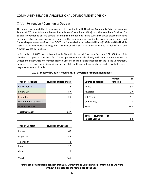# COMMUNITY SERVICES / PROFESSIONAL DEVELOPMENT DIVISION

# Crisis Intervention / Community Outreach

The primary responsibility of this program is to coordinate with Needham Community Crisis Intervention Team (NCCIT), the Substance Prevention Alliance of Needham (SPAN), and the Needham Coalition for Suicide Prevention to ensure people suffering from mental health and substance abuse disorders receive adequate follow up and access to resources. The program also coordinates with Regional, State and National Agencies such as Riverside, DOVE, the National Alliance on Mental Illness (NAMI), and the Norfolk District Attorney's Outreach Program. This officer will also act as a liaison to Beth Israel Hospital and Newton Wellesley Hospital.

In December of 2020 we contracted with Riverside for a Jail Diversion Program (JDP) Clinician. This clinician is assigned to Needham for 20 hours per week and works closely with our Community Outreach Officer and other Crisis Intervention Trained Officers. The clinician is embedded in the Police Department, has access to reports of incidents involving mental health and substance abuse, and is available for coresponse where applicable.

| <b>Type of Response</b>  | <b>Number of Responses</b> | <b>Source of Referral</b> | <b>Number</b><br><b>Referrals</b> | οf  |
|--------------------------|----------------------------|---------------------------|-----------------------------------|-----|
| Co-Response              | 6                          | Police                    |                                   | 95  |
| Follow-up                | 87                         | Riverside                 |                                   | 29  |
| Evaluation               | 29                         | Self/Family               |                                   | 11  |
| Unable to make contact   | 10                         | Community                 |                                   | 7   |
| <b>Declined Services</b> | 10                         | <b>Total</b>              |                                   | 142 |
| <b>Total Outreach</b>    | 147                        |                           |                                   |     |

|  |  |  | 2021 January thru July* Needham Jail Diversion Program Responses |  |  |
|--|--|--|------------------------------------------------------------------|--|--|
|--|--|--|------------------------------------------------------------------|--|--|

| <b>Source of Referral</b> | <b>Number</b><br>οf<br><b>Referrals</b> |
|---------------------------|-----------------------------------------|
| Police                    | 95                                      |
| Riverside                 | 29                                      |
| Self/Family               | 11                                      |
| Community                 |                                         |
| <b>Total</b>              | 142                                     |

| Total                | Number | <b>of</b> |  |
|----------------------|--------|-----------|--|
| <b>People Served</b> |        |           |  |

| <b>Type of Contact</b> | <b>Number of Contact</b> |
|------------------------|--------------------------|
| Phone                  | 69                       |
| In-person              | 52                       |
| Telehealth             | 3                        |
| Email                  | 12                       |
| Other                  | 5                        |
|                        |                          |
| Total                  | 141                      |

**\*Stats are provided from January thru July. Our Riverside Clinician was promoted, and we were without a clinician for the remainder of the year.**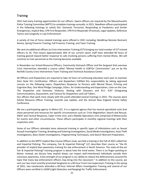#### **Training**

2021 had many training opportunities for our officers. Sworn officers are required by the Massachusetts Police Training Committee (MPTC) to complete trainings annually. In 2021, Needham officers participated in the following trainings to satisfy this: Domestic Terrorism, Responding to Pandemics and Similar Emergencies, Implicit Bias, CPR First Responder, CPR First Responder (Practical), Legal Updates, Defensive Tactics and Longevity in Law Enforcement.

A variety of Use of Force related trainings were offered in 2021 including: BolaWrap Remote Restraint Device, Spring Firearms Training, Fall Firearms Training, and Taser Training.

We sent six additional officers to Crisis Intervention Training (CIT) bringing our total number of CIT trained officers to 26. That means approximately 56% of our current sworn staff have attended 40 hours of training geared toward better response to calls involving persons suffering from mental illness. We will continue to train personnel as the training becomes available.

In November our School Resource Officers, Community Outreach Officer and the Sergeant that overseas Crisis Intervention attended a course called "Mental Health in LGBTQ+ Communities" put on by the Norfolk County Crisis Intervention Team Training and Technical Assistance Center.

All Officers and Dispatchers are required to take 16 hours of continuing education each year to maintain their State 911 Certification. Officers and dispatchers fulfilled this responsibility by taking approved courses on the following topics: Dispatchers Response to Persons with Mental Illness, Priming and Cognitive Bias, One Mind Pledge Campaign, Ethics: An Understanding and Expectation, Lives on the Line: The Dispatcher and Domestic Violence, Dealing with Disasters and 911: ICAT (Integrating Communications, Assessment, and Tactics) for Dispatchers and Call Takers.

Our officers that work most closely with the youth attended several trainings in 2021. The courses were School Resource Officer Training, Juvenile Law Update, and the Annual New England School Safety Conference.

We are a participating agency in Metro-LEC. It is a regional agency that has several specialized units that share personnel and resources for specific circumstances such as: Crisis Negotiation, Search and Rescue, SWAT and Tactical Response, Cyber Crime Unit, and a Mobile Operations Unit comprised of Motorcycles for events and other circumstances. These officers participate in monthly regional trainings with their respective units.

Some of our Officers attended more advanced training in specific types of infestations such as Sexual Assault Investigator Training, Breaking and Entering Investigations, Social Media Investigations, Auto Theft Investigations, Basic Death Investigations, Fingerprinting Techniques, and Search Warrant Preparation.

In addition to the MPTC Implicit Bias Course Officers took, we held a training in the Fall of 2021 called Fair and Impartial Policing. The company, Fair & Impartial Policing® LCC describes their course as "the #1 provider of implicit-bias-awareness training for law enforcement in North America. The state-of-the-art Fair & Impartial Policing® training program is about how the mind works. There is no finger-pointing or blame. Instead, we discuss how implicit biases can impact well-intentioned individuals outside their conscious awareness. A key strength of our program is our ability to reduce the defensiveness around this topic that many law enforcement officers may bring into the classroom." In addition to this course, we sent our two most recently promoted Sergeants to a 40-hour Front Line Supervisors Training in the spring of 2021, two Lieutenants attended a 40-hour Internal Affairs Investigation Training and several of our Officers were certified in LIDAR (Light Detection and Ranging) for Traffic Enforcement.